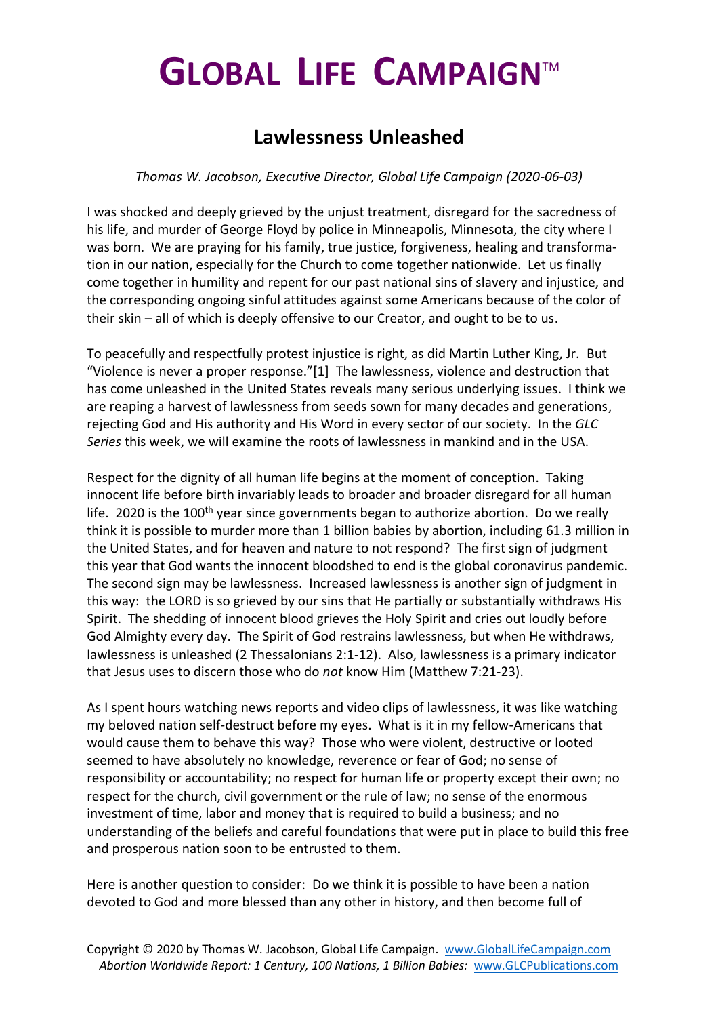## **GLOBAL LIFE CAMPAIGN**TM

## **Lawlessness Unleashed**

## *Thomas W. Jacobson, Executive Director, Global Life Campaign (2020-06-03)*

I was shocked and deeply grieved by the unjust treatment, disregard for the sacredness of his life, and murder of George Floyd by police in Minneapolis, Minnesota, the city where I was born. We are praying for his family, true justice, forgiveness, healing and transformation in our nation, especially for the Church to come together nationwide. Let us finally come together in humility and repent for our past national sins of slavery and injustice, and the corresponding ongoing sinful attitudes against some Americans because of the color of their skin – all of which is deeply offensive to our Creator, and ought to be to us.

To peacefully and respectfully protest injustice is right, as did Martin Luther King, Jr. But "Violence is never a proper response."[1] The lawlessness, violence and destruction that has come unleashed in the United States reveals many serious underlying issues. I think we are reaping a harvest of lawlessness from seeds sown for many decades and generations, rejecting God and His authority and His Word in every sector of our society. In the *GLC Series* this week, we will examine the roots of lawlessness in mankind and in the USA.

Respect for the dignity of all human life begins at the moment of conception. Taking innocent life before birth invariably leads to broader and broader disregard for all human life. 2020 is the  $100<sup>th</sup>$  year since governments began to authorize abortion. Do we really think it is possible to murder more than 1 billion babies by abortion, including 61.3 million in the United States, and for heaven and nature to not respond? The first sign of judgment this year that God wants the innocent bloodshed to end is the global coronavirus pandemic. The second sign may be lawlessness. Increased lawlessness is another sign of judgment in this way: the LORD is so grieved by our sins that He partially or substantially withdraws His Spirit. The shedding of innocent blood grieves the Holy Spirit and cries out loudly before God Almighty every day. The Spirit of God restrains lawlessness, but when He withdraws, lawlessness is unleashed (2 Thessalonians 2:1-12). Also, lawlessness is a primary indicator that Jesus uses to discern those who do *not* know Him (Matthew 7:21-23).

As I spent hours watching news reports and video clips of lawlessness, it was like watching my beloved nation self-destruct before my eyes. What is it in my fellow-Americans that would cause them to behave this way? Those who were violent, destructive or looted seemed to have absolutely no knowledge, reverence or fear of God; no sense of responsibility or accountability; no respect for human life or property except their own; no respect for the church, civil government or the rule of law; no sense of the enormous investment of time, labor and money that is required to build a business; and no understanding of the beliefs and careful foundations that were put in place to build this free and prosperous nation soon to be entrusted to them.

Here is another question to consider: Do we think it is possible to have been a nation devoted to God and more blessed than any other in history, and then become full of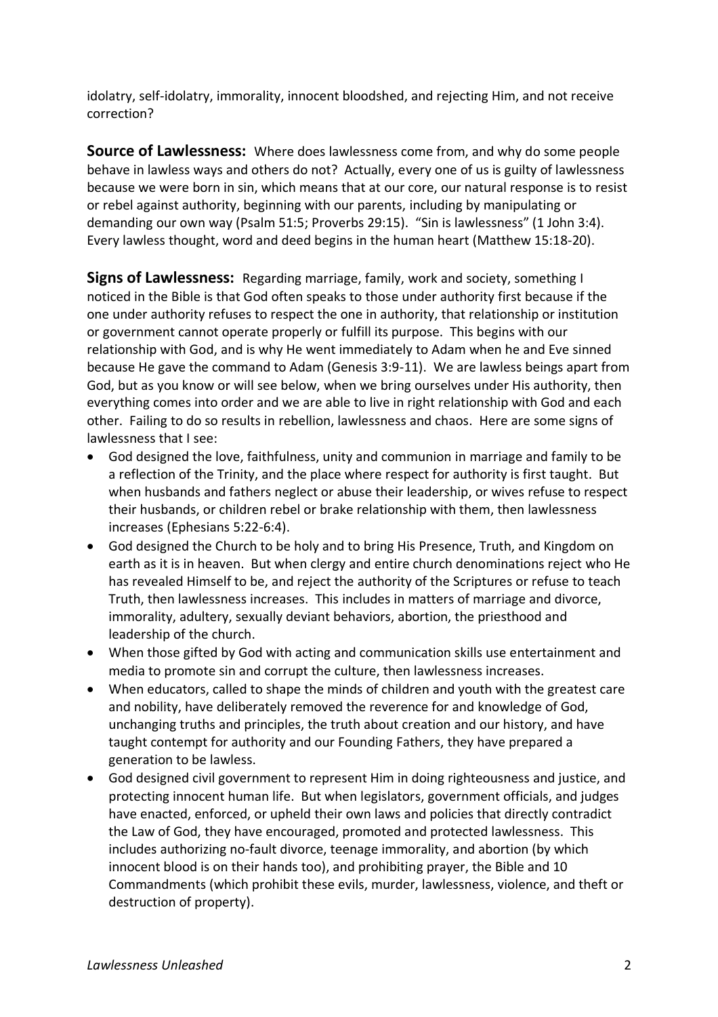idolatry, self-idolatry, immorality, innocent bloodshed, and rejecting Him, and not receive correction?

**Source of Lawlessness:** Where does lawlessness come from, and why do some people behave in lawless ways and others do not? Actually, every one of us is guilty of lawlessness because we were born in sin, which means that at our core, our natural response is to resist or rebel against authority, beginning with our parents, including by manipulating or demanding our own way (Psalm 51:5; Proverbs 29:15). "Sin is lawlessness" (1 John 3:4). Every lawless thought, word and deed begins in the human heart (Matthew 15:18-20).

**Signs of Lawlessness:** Regarding marriage, family, work and society, something I noticed in the Bible is that God often speaks to those under authority first because if the one under authority refuses to respect the one in authority, that relationship or institution or government cannot operate properly or fulfill its purpose. This begins with our relationship with God, and is why He went immediately to Adam when he and Eve sinned because He gave the command to Adam (Genesis 3:9-11). We are lawless beings apart from God, but as you know or will see below, when we bring ourselves under His authority, then everything comes into order and we are able to live in right relationship with God and each other. Failing to do so results in rebellion, lawlessness and chaos. Here are some signs of lawlessness that I see:

- God designed the love, faithfulness, unity and communion in marriage and family to be a reflection of the Trinity, and the place where respect for authority is first taught. But when husbands and fathers neglect or abuse their leadership, or wives refuse to respect their husbands, or children rebel or brake relationship with them, then lawlessness increases (Ephesians 5:22-6:4).
- God designed the Church to be holy and to bring His Presence, Truth, and Kingdom on earth as it is in heaven. But when clergy and entire church denominations reject who He has revealed Himself to be, and reject the authority of the Scriptures or refuse to teach Truth, then lawlessness increases. This includes in matters of marriage and divorce, immorality, adultery, sexually deviant behaviors, abortion, the priesthood and leadership of the church.
- When those gifted by God with acting and communication skills use entertainment and media to promote sin and corrupt the culture, then lawlessness increases.
- When educators, called to shape the minds of children and youth with the greatest care and nobility, have deliberately removed the reverence for and knowledge of God, unchanging truths and principles, the truth about creation and our history, and have taught contempt for authority and our Founding Fathers, they have prepared a generation to be lawless.
- God designed civil government to represent Him in doing righteousness and justice, and protecting innocent human life. But when legislators, government officials, and judges have enacted, enforced, or upheld their own laws and policies that directly contradict the Law of God, they have encouraged, promoted and protected lawlessness. This includes authorizing no-fault divorce, teenage immorality, and abortion (by which innocent blood is on their hands too), and prohibiting prayer, the Bible and 10 Commandments (which prohibit these evils, murder, lawlessness, violence, and theft or destruction of property).